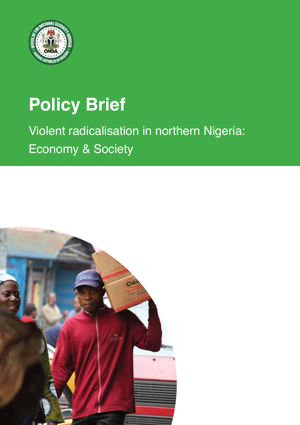

# **Policy Brief**

## Violent radicalisation in northern Nigeria: Economy & Society

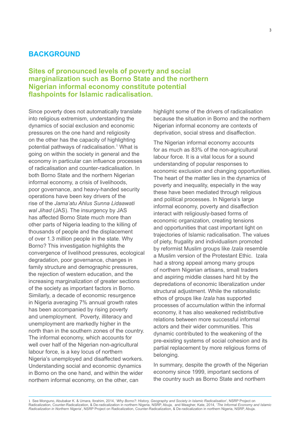## **BACKGROUND**

## **Sites of pronounced levels of poverty and social marginalization such as Borno State and the northern Nigerian informal economy constitute potential flashpoints for Islamic radicalisation.**

Since poverty does not automatically translate into religious extremism, understanding the dynamics of social exclusion and economic pressures on the one hand and religiosity on the other has the capacity of highlighting potential pathways of radicalisation.<sup>1</sup> What is going on within the society in general and the economy in particular can influence processes of radicalisation and counter-radicalisation. In both Borno State and the northern Nigerian informal economy, a crisis of livelihoods, poor governance, and heavy-handed security operations have been key drivers of the rise of the *Jama'atu Ahlus Sunna Lidaawati wal Jihad* (JAS). The insurgency by JAS has affected Borno State much more than other parts of Nigeria leading to the killing of thousands of people and the displacement of over 1.3 million people in the state. Why Borno? This investigation highlights the convergence of livelihood pressures, ecological degradation, poor governance, changes in family structure and demographic pressures, the rejection of western education, and the increasing marginalization of greater sections of the society as important factors in Borno. Similarly, a decade of economic resurgence in Nigeria averaging 7% annual growth rates has been accompanied by rising poverty and unemployment. Poverty, illiteracy and unemployment are markedly higher in the north than in the southern zones of the country. The informal economy, which accounts for well over half of the Nigerian non-agricultural labour force, is a key locus of northern Nigeria's unemployed and disaffected workers. Understanding social and economic dynamics in Borno on the one hand, and within the wider northern informal economy, on the other, can

highlight some of the drivers of radicalisation because the situation in Borno and the northern Nigerian informal economy are contexts of deprivation, social stress and disaffection.

The Nigerian informal economy accounts for as much as 83% of the non-agricultural labour force. It is a vital locus for a sound understanding of popular responses to economic exclusion and changing opportunities. The heart of the matter lies in the dynamics of poverty and inequality, especially in the way these have been mediated through religious and political processes. In Nigeria's large informal economy, poverty and disaffection interact with religiously-based forms of economic organization, creating tensions and opportunities that cast important light on trajectories of Islamic radicalisation. The values of piety, frugality and individualism promoted by reformist Muslim groups like *Izala* resemble a Muslim version of the Protestant Ethic. Izala had a strong appeal among many groups of northern Nigerian artisans, small traders and aspiring middle classes hard hit by the depredations of economic liberalization under structural adjustment. While the rationalistic ethos of groups like *Izala* has supported processes of accumulation within the informal economy, it has also weakened redistributive relations between more successful informal actors and their wider communities. This dynamic contributed to the weakening of the pre-existing systems of social cohesion and its partial replacement by more religious forms of belonging.

In summary, despite the growth of the Nigerian economy since 1999, important sections of the country such as Borno State and northern

1 See Monguno, Abubakar K. & Umara, Ibrahim, 2014, '*Why Borno?: History, Geography and Society in Islamic Radicalisation*', NSRP Project on Radicalization, Counter-Radicalization, & De-radicalization in northern Nigeria, NSRP, Abuja, and Meagher, Kate, 2014, '*The Informal Economy and Islamic Radicalization in Northern Nigeria*', NSRP Project on Radicalization, Counter-Radicalization, & De-radicalization in northern Nigeria, NSRP, Abuja.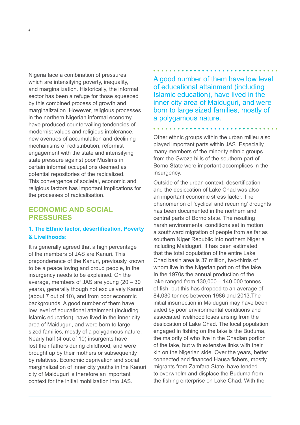Nigeria face a combination of pressures which are intensifying poverty, inequality, and marginalization. Historically, the informal sector has been a refuge for those squeezed by this combined process of growth and marginalization. However, religious processes in the northern Nigerian informal economy have produced countervailing tendencies of modernist values and religious intolerance, new avenues of accumulation and declining mechanisms of redistribution, reformist engagement with the state and intensifying state pressure against poor Muslims in certain informal occupations deemed as potential repositories of the radicalized. This convergence of societal, economic and religious factors has important implications for the processes of radicalisation.

## **ECONOMIC AND SOCIAL PRESSURES**

## **1. The Ethnic factor, desertification, Poverty & Livelihoods:**

It is generally agreed that a high percentage of the members of JAS are Kanuri. This preponderance of the Kanuri, previously known to be a peace loving and proud people, in the insurgency needs to be explained. On the average, members of JAS are young (20 – 30 years), generally though not exclusively Kanuri (about 7 out of 10), and from poor economic backgrounds. A good number of them have low level of educational attainment (including Islamic education), have lived in the inner city area of Maiduguri, and were born to large sized families, mostly of a polygamous nature. Nearly half (4 out of 10) insurgents have lost their fathers during childhood, and were brought up by their mothers or subsequently by relatives. Economic deprivation and social marginalization of inner city youths in the Kanuri city of Maiduguri is therefore an important context for the initial mobilization into JAS.

A good number of them have low level of educational attainment (including Islamic education), have lived in the inner city area of Maiduguri, and were born to large sized families, mostly of a polygamous nature.

Other ethnic groups within the urban milieu also played important parts within JAS. Especially, many members of the minority ethnic groups from the Gwoza hills of the southern part of Borno State were important accomplices in the insurgency.

Outside of the urban context, desertification and the desiccation of Lake Chad was also an important economic stress factor. The phenomenon of 'cyclical and recurring' droughts has been documented in the northern and central parts of Borno state. The resulting harsh environmental conditions set in motion a southward migration of people from as far as southern Niger Republic into northern Nigeria including Maiduguri. It has been estimated that the total population of the entire Lake Chad basin area is 37 million, two-thirds of whom live in the Nigerian portion of the lake. In the 1970s the annual production of the lake ranged from 130,000 – 140,000 tonnes of fish, but this has dropped to an average of 84,030 tonnes between 1986 and 2013.The initial insurrection in Maiduguri may have been aided by poor environmental conditions and associated livelihood loses arising from the desiccation of Lake Chad. The local population engaged in fishing on the lake is the Buduma, the majority of who live in the Chadian portion of the lake, but with extensive links with their kin on the Nigerian side. Over the years, better connected and financed Hausa fishers, mostly migrants from Zamfara State, have tended to overwhelm and displace the Buduma from the fishing enterprise on Lake Chad. With the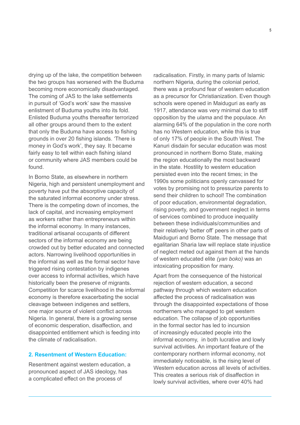drying up of the lake, the competition between the two groups has worsened with the Buduma becoming more economically disadvantaged. The coming of JAS to the lake settlements in pursuit of 'God's work' saw the massive enlistment of Buduma youths into its fold. Enlisted Buduma youths thereafter terrorized all other groups around them to the extent that only the Buduma have access to fishing grounds in over 20 fishing islands. 'There is money in God's work', they say. It became fairly easy to tell within each fishing island or community where JAS members could be found.

In Borno State, as elsewhere in northern Nigeria, high and persistent unemployment and poverty have put the absorptive capacity of the saturated informal economy under stress. There is the competing down of incomes, the lack of capital, and increasing employment as workers rather than entrepreneurs within the informal economy. In many instances, traditional artisanal occupants of different sectors of the informal economy are being crowded out by better educated and connected actors. Narrowing livelihood opportunities in the informal as well as the formal sector have triggered rising contestation by indigenes over access to informal activities, which have historically been the preserve of migrants. Competition for scarce livelihood in the informal economy is therefore exacerbating the social cleavage between indigenes and settlers, one major source of violent conflict across Nigeria. In general, there is a growing sense of economic desperation, disaffection, and disappointed entitlement which is feeding into the climate of radicalisation.

#### **2. Resentment of Western Education:**

Resentment against western education, a pronounced aspect of JAS ideology, has a complicated effect on the process of

radicalisation. Firstly, in many parts of Islamic northern Nigeria, during the colonial period, there was a profound fear of western education as a precursor for Christianization. Even though schools were opened in Maiduguri as early as 1917, attendance was very minimal due to stiff opposition by the *ulama* and the populace. An alarming 64% of the population in the core north has no Western education, while this is true of only 17% of people in the South West. The Kanuri disdain for secular education was most pronounced in northern Borno State, making the region educationally the most backward in the state. Hostility to western education persisted even into the recent times; in the 1990s some politicians openly canvassed for votes by promising not to pressurize parents to send their children to school! The combination of poor education, environmental degradation, rising poverty, and government neglect in terms of services combined to produce inequality between these individuals/communities and their relatively 'better off' peers in other parts of Maiduguri and Borno State. The message that egalitarian Sharia law will replace state injustice of neglect meted out against them at the hands of western educated elite *(yan boko)* was an intoxicating proposition for many.

Apart from the consequence of the historical rejection of western education, a second pathway through which western education affected the process of radicalisation was through the disappointed expectations of those northerners who managed to get western education. The collapse of job opportunities in the formal sector has led to incursion of increasingly educated people into the informal economy, in both lucrative and lowly survival activities. An important feature of the contemporary northern informal economy, not immediately noticeable, is the rising level of Western education across all levels of activities. This creates a serious risk of disaffection in lowly survival activities, where over 40% had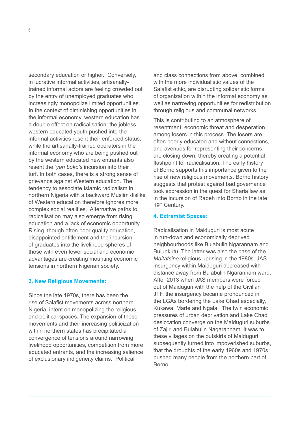secondary education or higher. Conversely, in lucrative informal activities, artisanallytrained informal actors are feeling crowded out by the entry of unemployed graduates who increasingly monopolize limited opportunities. In the context of diminishing opportunities in the informal economy, western education has a double effect on radicalisation: the jobless western educated youth pushed into the informal activities resent their enforced status; while the artisanally-trained operators in the informal economy who are being pushed out by the western educated new entrants also resent the *'yan boko's* incursion into their turf. In both cases, there is a strong sense of grievance against Western education. The tendency to associate Islamic radicalism in northern Nigeria with a backward Muslim dislike of Western education therefore ignores more complex social realities. Alternative paths to radicalisation may also emerge from rising education and a lack of economic opportunity. Rising, though often poor quality education, disappointed entitlement and the incursion of graduates into the livelihood spheres of those with even fewer social and economic advantages are creating mounting economic tensions in northern Nigerian society.

#### **3. New Religious Movements:**

Since the late 1970s, there has been the rise of Salafist movements across northern Nigeria, intent on monopolizing the religious and political spaces. The expansion of these movements and their increasing politicization within northern states has precipitated a convergence of tensions around narrowing livelihood opportunities, competition from more educated entrants, and the increasing salience of exclusionary indigeneity claims. Political

and class connections from above, combined with the more individualistic values of the Salafist ethic, are disrupting solidaristic forms of organization within the informal economy as well as narrowing opportunities for redistribution through religious and communal networks.

This is contributing to an atmosphere of resentment, economic threat and desperation among losers in this process. The losers are often poorly educated and without connections, and avenues for representing their concerns are closing down, thereby creating a potential flashpoint for radicalisation. The early history of Borno supports this importance given to the rise of new religious movements. Borno history suggests that protest against bad governance took expression in the quest for Sharia law as in the incursion of Rabeh into Borno in the late 19th Century.

#### **4. Extremist Spaces:**

Radicalisation in Maiduguri is most acute in run-down and economically deprived neighbourhoods like Bulabulin Ngarannam and Bulunkutu. The latter was also the base of the *Maitatsine* religious uprising in the 1980s. JAS insurgency within Maiduguri decreased with distance away from Bulabulin Ngarannam ward. After 2013 when JAS members were forced out of Maiduguri with the help of the Civilian JTF, the insurgency became pronounced in the LGAs bordering the Lake Chad especially, Kukawa, Marte and Ngala. The twin economic pressures of urban deprivation and Lake Chad desiccation converge on the Maiduguri suburbs of Zajiri and Bulabulin Nagarannam. It was to these villages on the outskirts of Maiduguri, subsequently turned into impoverished suburbs, that the droughts of the early 1960s and 1970s pushed many people from the northern part of Borno.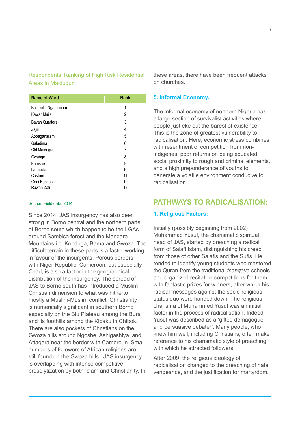## Respondents' Ranking of High Risk Residential Areas in Maiduguri

| <b>Name of Ward</b>   | <b>Rank</b> |
|-----------------------|-------------|
| Bulabulin Ngarannam   | 1           |
| Kawar Maila           | 2           |
| <b>Bayan Quarters</b> | 3           |
| Zajiri                | 4           |
| Abbaganaram           | 5           |
| Galadima              | 6           |
| Old Maiduguri         | 7           |
| Gwange                | 8           |
| Kumshe                | 9           |
| Lamisula              | 10          |
| Custom                | 11          |
| Goni Kachallari       | 12          |
| Ruwan Zafi            | 13          |

#### Source: Field data, 2014

Since 2014, JAS insurgency has also been strong in Borno central and the northern parts of Borno south which happen to be the LGAs around Sambisa forest and the Mandara Mountains i.e. Konduga, Bama and Gwoza. The difficult terrain in these parts is a factor working in favour of the insurgents. Porous borders with Niger Republic, Cameroon, but especially Chad, is also a factor in the geographical distribution of the insurgency. The spread of JAS to Borno south has introduced a Muslim-Christian dimension to what was hitherto mostly a Muslim-Muslim conflict. Christianity is numerically significant in southern Borno especially on the Biu Plateau among the Bura and its foothills among the Kibaku in Chibok. There are also pockets of Christians on the Gwoza hills around Ngoshe, Ashigashiya, and Attagara near the border with Cameroun. Small numbers of followers of African religions are still found on the Gwoza hills. JAS insurgency is overlapping with intense competitive proselytization by both Islam and Christianity. In

these areas, there have been frequent attacks on churches.

#### **5. Informal Economy.**

The informal economy of northern Nigeria has a large section of survivalist activities where people just eke out the barest of existence. This is the zone of greatest vulnerability to radicalisation. Here, economic stress combines with resentment of competition from nonindigenes, poor returns on being educated, social proximity to rough and criminal elements, and a high preponderance of youths to generate a volatile environment conducive to radicalisation.

## **PATHWAYS TO RADICALISATION:**

#### **1. Religious Factors:**

Initially (possibly beginning from 2002) Muhammad Yusuf, the charismatic spiritual head of JAS, started by preaching a radical form of Salafi Islam, distinguishing his creed from those of other Salafis and the Sufis. He tended to identify young students who mastered the Quran from the traditional *tsangaya* schools and organized recitation competitions for them with fantastic prizes for winners, after which his radical messages against the socio-religious status quo were handed down. The religious charisma of Muhammed Yusuf was an initial factor in the process of radicalisation. Indeed Yusuf was described as a 'gifted demagogue and persuasive debater'. Many people, who knew him well, including Christians, often make reference to his charismatic style of preaching with which he attracted followers.

After 2009, the religious ideology of radicalisation changed to the preaching of hate, vengeance, and the justification for martyrdom.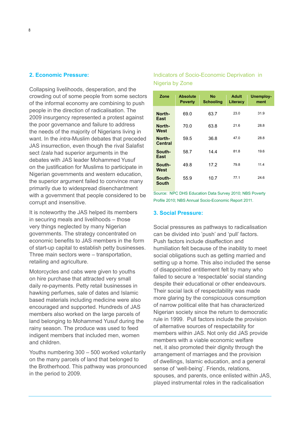#### **2. Economic Pressure:**

Collapsing livelihoods, desperation, and the crowding out of some people from some sectors of the informal economy are combining to push people in the direction of radicalisation. The 2009 insurgency represented a protest against the poor governance and failure to address the needs of the majority of Nigerians living in want. In the *intra*-Muslim debates that preceded JAS insurrection, even though the rival Salafist sect *Izala* had superior arguments in the debates with JAS leader Mohammed Yusuf on the justification for Muslims to participate in Nigerian governments and western education, the superior argument failed to convince many primarily due to widespread disenchantment with a government that people considered to be corrupt and insensitive.

It is noteworthy the JAS helped its members in securing meals and livelihoods – those very things neglected by many Nigerian governments. The strategy concentrated on economic benefits to JAS members in the form of start-up capital to establish petty businesses. Three main sectors were – transportation, retailing and agriculture.

Motorcycles and cabs were given to youths on hire purchase that attracted very small daily re-payments. Petty retail businesses in hawking perfumes, sale of dates and Islamic based materials including medicine were also encouraged and supported. Hundreds of JAS members also worked on the large parcels of land belonging to Mohammed Yusuf during the rainy season. The produce was used to feed indigent members that included men, women and children.

Youths numbering 300 – 500 worked voluntarily on the many parcels of land that belonged to the Brotherhood. This pathway was pronounced in the period to 2009.

## Indicators of Socio-Economic Deprivation in Nigeria by Zone

| Zone                     | <b>Absolute</b><br><b>Poverty</b> | <b>No</b><br><b>Schooling</b> | <b>Adult</b><br>Literacy | <b>Unemploy-</b><br>ment |
|--------------------------|-----------------------------------|-------------------------------|--------------------------|--------------------------|
| North-<br>East           | 69.0                              | 63.7                          | 23.0                     | 31.9                     |
| North-<br>West           | 70.0                              | 63.8                          | 21.6                     | 28.8                     |
| North-<br><b>Central</b> | 59.5                              | 36.8                          | 47.0                     | 28.8                     |
| South-<br>East           | 58.7                              | 14.4                          | 81.8                     | 19.6                     |
| South-<br>West           | 49.8                              | 17.2                          | 79.8                     | 11.4                     |
| South-<br><b>South</b>   | 55.9                              | 10.7                          | 77.1                     | 24.6                     |

Source: NPC DHS Education Data Survey 2010; NBS Poverty Profile 2010; NBS Annual Socio-Economic Report 2011.

#### **3. Social Pressure:**

Social pressures as pathways to radicalisation can be divided into 'push' and 'pull' factors. Push factors include disaffection and humiliation felt because of the inability to meet social obligations such as getting married and setting up a home. This also included the sense of disappointed entitlement felt by many who failed to secure a 'respectable' social standing despite their educational or other endeavours. Their social lack of respectability was made more glaring by the conspicuous consumption of narrow political elite that has characterized Nigerian society since the return to democratic rule in 1999. Pull factors include the provision of alternative sources of respectability for members within JAS. Not only did JAS provide members with a viable economic welfare net, it also promoted their dignity through the arrangement of marriages and the provision of dwellings, Islamic education, and a general sense of 'well-being'. Friends, relations, spouses, and parents, once enlisted within JAS, played instrumental roles in the radicalisation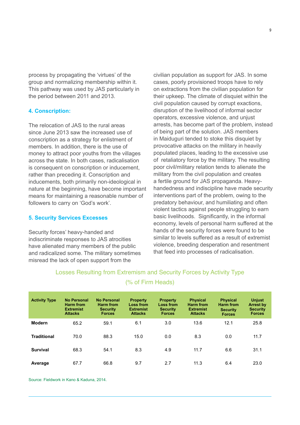process by propagating the 'virtues' of the group and normalizing membership within it. This pathway was used by JAS particularly in the period between 2011 and 2013.

#### **4. Conscription:**

The relocation of JAS to the rural areas since June 2013 saw the increased use of conscription as a strategy for enlistment of members. In addition, there is the use of money to attract poor youths from the villages across the state. In both cases, radicalisation is consequent on conscription or inducement, rather than preceding it. Conscription and inducements, both primarily non-ideological in nature at the beginning, have become important means for maintaining a reasonable number of followers to carry on 'God's work'.

#### **5. Security Services Excesses**

Security forces' heavy-handed and indiscriminate responses to JAS atrocities have alienated many members of the public and radicalized some. The military sometimes misread the lack of open support from the

civilian population as support for JAS. In some cases, poorly provisioned troops have to rely on extractions from the civilian population for their upkeep. The climate of disquiet within the civil population caused by corrupt exactions, disruption of the livelihood of informal sector operators, excessive violence, and unjust arrests, has become part of the problem, instead of being part of the solution. JAS members in Maiduguri tended to stoke this disquiet by provocative attacks on the military in heavily populated places, leading to the excessive use of retaliatory force by the military. The resulting poor civil/military relation tends to alienate the military from the civil population and creates a fertile ground for JAS propaganda. Heavyhandedness and indiscipline have made security interventions part of the problem, owing to the predatory behaviour, and humiliating and often violent tactics against people struggling to earn basic livelihoods. Significantly, in the informal economy, levels of personal harm suffered at the hands of the security forces were found to be similar to levels suffered as a result of extremist violence, breeding desperation and resentment that feed into processes of radicalisation.

| <b>Activity Type</b> | <b>No Personal</b><br>Harm from<br><b>Extremist</b><br><b>Attacks</b> | <b>No Personal</b><br>Harm from<br><b>Security</b><br><b>Forces</b> | <b>Property</b><br><b>Loss from</b><br><b>Extremist</b><br><b>Attacks</b> | <b>Property</b><br><b>Loss from</b><br><b>Security</b><br><b>Forces</b> | <b>Physical</b><br><b>Harm from</b><br><b>Extremist</b><br><b>Attacks</b> | <b>Physical</b><br><b>Harm from</b><br><b>Security</b><br><b>Forces</b> | <b>Unjust</b><br><b>Arrest by</b><br><b>Security</b><br><b>Forces</b> |
|----------------------|-----------------------------------------------------------------------|---------------------------------------------------------------------|---------------------------------------------------------------------------|-------------------------------------------------------------------------|---------------------------------------------------------------------------|-------------------------------------------------------------------------|-----------------------------------------------------------------------|
| <b>Modern</b>        | 65.2                                                                  | 59.1                                                                | 6.1                                                                       | 3.0                                                                     | 13.6                                                                      | 12.1                                                                    | 25.8                                                                  |
| <b>Traditional</b>   | 70.0                                                                  | 88.3                                                                | 15.0                                                                      | 0.0                                                                     | 8.3                                                                       | 0.0                                                                     | 11.7                                                                  |
| <b>Survival</b>      | 68.3                                                                  | 54.1                                                                | 8.3                                                                       | 4.9                                                                     | 11.7                                                                      | 6.6                                                                     | 31.1                                                                  |
| Average              | 67.7                                                                  | 66.8                                                                | 9.7                                                                       | 2.7                                                                     | 11.3                                                                      | 6.4                                                                     | 23.0                                                                  |

## Losses Resulting from Extremism and Security Forces by Activity Type

#### (% of Firm Heads)

Source: Fieldwork in Kano & Kaduna, 2014.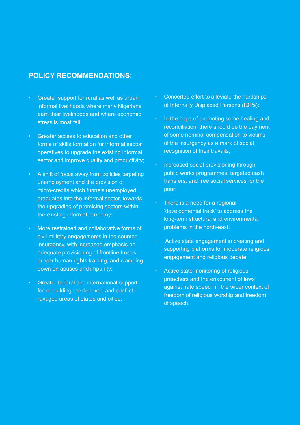## **POLICY RECOMMENDATIONS:**

- Greater support for rural as well as urban informal livelihoods where many Nigerians earn their livelihoods and where economic stress is most felt;
- Greater access to education and other forms of skills formation for informal sector operatives to upgrade the existing informal sector and improve quality and productivity;
- A shift of focus away from policies targeting unemployment and the provision of micro-credits which funnels unemployed graduates into the informal sector, towards the upgrading of promising sectors within the existing informal economy;
- More restrained and collaborative forms of civil-military engagements in the counterinsurgency, with increased emphasis on adequate provisioning of frontline troops, proper human rights training, and clamping down on abuses and impunity;
- Greater federal and international support for re-building the deprived and conflictravaged areas of states and cities;
- Concerted effort to alleviate the hardships of Internally Displaced Persons (IDPs);
- In the hope of promoting some healing and reconciliation, there should be the payment of some nominal compensation to victims of the insurgency as a mark of social recognition of their travails;
- Increased social provisioning through public works programmes, targeted cash transfers, and free social services for the poor;
- There is a need for a regional 'developmental track' to address the long-term structural and environmental problems in the north-east;
- Active state engagement in creating and supporting platforms for moderate religious engagement and religious debate;
- Active state monitoring of religious preachers and the enactment of laws against hate speech in the wider context of freedom of religious worship and freedom of speech.